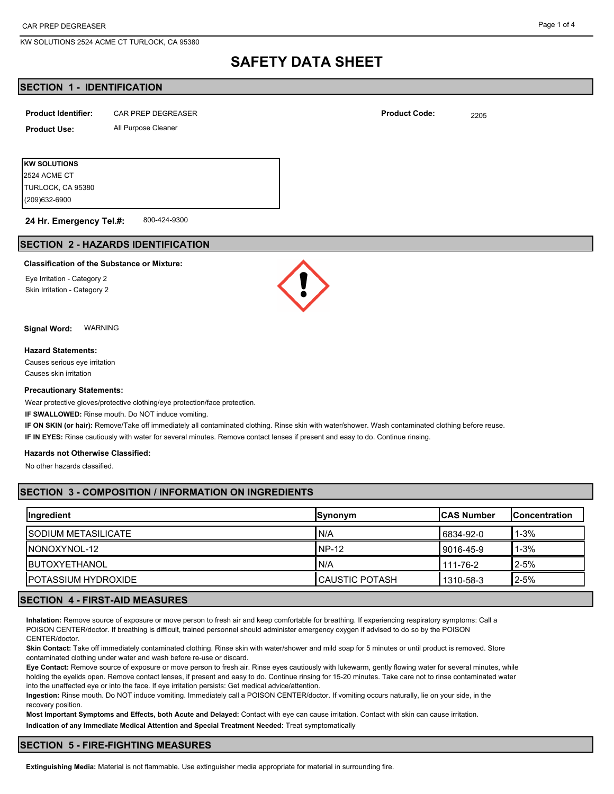KW SOLUTIONS 2524 ACME CT TURLOCK, CA 95380

# **SAFETY DATA SHEET**

# **SECTION 1 - IDENTIFICATION**

| <b>Product Identifier:</b> | <b>CAR PREP DEGREASER</b> | <b>Product Code:</b> | 2205 |
|----------------------------|---------------------------|----------------------|------|
| <b>Product Use:</b>        | All Purpose Cleaner       |                      |      |
|                            |                           |                      |      |
| <b>KW SOLUTIONS</b>        |                           |                      |      |
| 2524 ACME CT               |                           |                      |      |

800-424-9300 **24 Hr. Emergency Tel.#:**

# **SECTION 2 - HAZARDS IDENTIFICATION**

#### **Classification of the Substance or Mixture:**

Eye Irritation - Category 2 Skin Irritation - Category 2

(209)632-6900 TURLOCK, CA 95380

**Signal Word:** WARNING

#### **Hazard Statements:**

Causes serious eye irritation Causes skin irritation

#### **Precautionary Statements:**

Wear protective gloves/protective clothing/eye protection/face protection.

**IF SWALLOWED:** Rinse mouth. Do NOT induce vomiting.

**IF ON SKIN (or hair):** Remove/Take off immediately all contaminated clothing. Rinse skin with water/shower. Wash contaminated clothing before reuse.

**IF IN EYES:** Rinse cautiously with water for several minutes. Remove contact lenses if present and easy to do. Continue rinsing.

#### **Hazards not Otherwise Classified:**

No other hazards classified.

# **SECTION 3 - COMPOSITION / INFORMATION ON INGREDIENTS**

| <b>Ingredient</b>           | Synonym          | <b>ICAS Number</b> | <b>IConcentration</b> |
|-----------------------------|------------------|--------------------|-----------------------|
| <b>ISODIUM METASILICATE</b> | N/A              | 16834-92-0         | $1 - 3%$              |
| INONOXYNOL-12               | NP-12            | 9016-45-9          | $1 - 3%$              |
| <b>IBUTOXYETHANOL</b>       | N/A              | 111-76-2           | $2 - 5%$              |
| <b>IPOTASSIUM HYDROXIDE</b> | I CAUSTIC POTASH | 1310-58-3          | $2 - 5%$              |

### **SECTION 4 - FIRST-AID MEASURES**

**Inhalation:** Remove source of exposure or move person to fresh air and keep comfortable for breathing. If experiencing respiratory symptoms: Call a POISON CENTER/doctor. If breathing is difficult, trained personnel should administer emergency oxygen if advised to do so by the POISON CENTER/doctor.

**Skin Contact:** Take off immediately contaminated clothing. Rinse skin with water/shower and mild soap for 5 minutes or until product is removed. Store contaminated clothing under water and wash before re-use or discard.

**Eye Contact:** Remove source of exposure or move person to fresh air. Rinse eyes cautiously with lukewarm, gently flowing water for several minutes, while holding the eyelids open. Remove contact lenses, if present and easy to do. Continue rinsing for 15-20 minutes. Take care not to rinse contaminated water into the unaffected eye or into the face. If eye irritation persists: Get medical advice/attention.

**Ingestion:** Rinse mouth. Do NOT induce vomiting. Immediately call a POISON CENTER/doctor. If vomiting occurs naturally, lie on your side, in the recovery position.

**Most Important Symptoms and Effects, both Acute and Delayed:** Contact with eye can cause irritation. Contact with skin can cause irritation. **Indication of any Immediate Medical Attention and Special Treatment Needed:** Treat symptomatically

## **SECTION 5 - FIRE-FIGHTING MEASURES**

**Extinguishing Media:** Material is not flammable. Use extinguisher media appropriate for material in surrounding fire.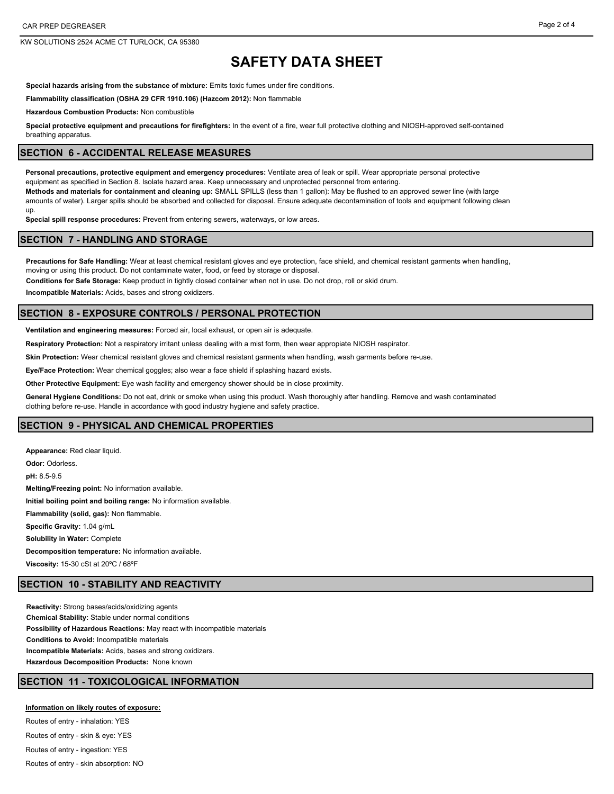KW SOLUTIONS 2524 ACME CT TURLOCK, CA 95380

# **SAFETY DATA SHEET**

**Special hazards arising from the substance of mixture:** Emits toxic fumes under fire conditions.

**Flammability classification (OSHA 29 CFR 1910.106) (Hazcom 2012):** Non flammable

**Hazardous Combustion Products:** Non combustible

**Special protective equipment and precautions for firefighters:** In the event of a fire, wear full protective clothing and NIOSH-approved self-contained breathing apparatus.

#### **SECTION 6 - ACCIDENTAL RELEASE MEASURES**

**Personal precautions, protective equipment and emergency procedures:** Ventilate area of leak or spill. Wear appropriate personal protective equipment as specified in Section 8. Isolate hazard area. Keep unnecessary and unprotected personnel from entering. **Methods and materials for containment and cleaning up:** SMALL SPILLS (less than 1 gallon): May be flushed to an approved sewer line (with large amounts of water). Larger spills should be absorbed and collected for disposal. Ensure adequate decontamination of tools and equipment following clean up.

**Special spill response procedures:** Prevent from entering sewers, waterways, or low areas.

#### **SECTION 7 - HANDLING AND STORAGE**

**Precautions for Safe Handling:** Wear at least chemical resistant gloves and eye protection, face shield, and chemical resistant garments when handling, moving or using this product. Do not contaminate water, food, or feed by storage or disposal.

**Conditions for Safe Storage:** Keep product in tightly closed container when not in use. Do not drop, roll or skid drum.

**Incompatible Materials:** Acids, bases and strong oxidizers.

### **SECTION 8 - EXPOSURE CONTROLS / PERSONAL PROTECTION**

**Ventilation and engineering measures:** Forced air, local exhaust, or open air is adequate.

**Respiratory Protection:** Not a respiratory irritant unless dealing with a mist form, then wear appropiate NIOSH respirator.

**Skin Protection:** Wear chemical resistant gloves and chemical resistant garments when handling, wash garments before re-use.

**Eye/Face Protection:** Wear chemical goggles; also wear a face shield if splashing hazard exists.

**Other Protective Equipment:** Eye wash facility and emergency shower should be in close proximity.

**General Hygiene Conditions:** Do not eat, drink or smoke when using this product. Wash thoroughly after handling. Remove and wash contaminated clothing before re-use. Handle in accordance with good industry hygiene and safety practice.

#### **SECTION 9 - PHYSICAL AND CHEMICAL PROPERTIES**

**Appearance:** Red clear liquid. **Odor:** Odorless. **pH:** 8.5-9.5 **Melting/Freezing point:** No information available. **Initial boiling point and boiling range:** No information available. **Flammability (solid, gas):** Non flammable. **Specific Gravity:** 1.04 g/mL **Solubility in Water:** Complete **Decomposition temperature:** No information available. **Viscosity:** 15-30 cSt at 20ºC / 68ºF

# **SECTION 10 - STABILITY AND REACTIVITY**

**Reactivity:** Strong bases/acids/oxidizing agents **Chemical Stability:** Stable under normal conditions **Possibility of Hazardous Reactions:** May react with incompatible materials **Conditions to Avoid:** Incompatible materials **Incompatible Materials:** Acids, bases and strong oxidizers. **Hazardous Decomposition Products:** None known

# **SECTION 11 - TOXICOLOGICAL INFORMATION**

#### **Information on likely routes of exposure:**

Routes of entry - inhalation: YES Routes of entry - skin & eye: YES Routes of entry - ingestion: YES Routes of entry - skin absorption: NO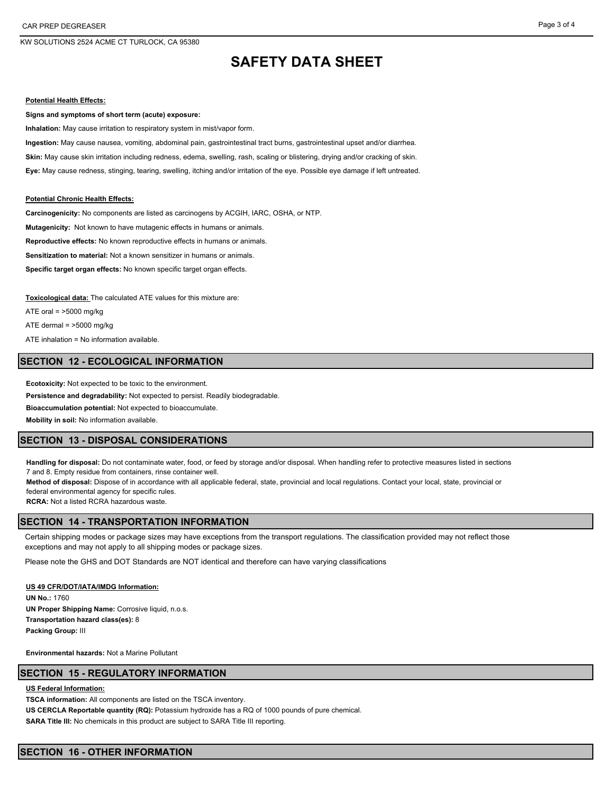KW SOLUTIONS 2524 ACME CT TURLOCK, CA 95380

# **SAFETY DATA SHEET**

#### **Potential Health Effects:**

**Signs and symptoms of short term (acute) exposure:**

**Inhalation:** May cause irritation to respiratory system in mist/vapor form.

**Ingestion:** May cause nausea, vomiting, abdominal pain, gastrointestinal tract burns, gastrointestinal upset and/or diarrhea.

**Skin:** May cause skin irritation including redness, edema, swelling, rash, scaling or blistering, drying and/or cracking of skin.

**Eye:** May cause redness, stinging, tearing, swelling, itching and/or irritation of the eye. Possible eye damage if left untreated.

#### **Potential Chronic Health Effects:**

**Carcinogenicity:** No components are listed as carcinogens by ACGIH, IARC, OSHA, or NTP.

**Mutagenicity:** Not known to have mutagenic effects in humans or animals.

**Reproductive effects:** No known reproductive effects in humans or animals.

**Sensitization to material:** Not a known sensitizer in humans or animals.

**Specific target organ effects:** No known specific target organ effects.

**Toxicological data:** The calculated ATE values for this mixture are:

ATE oral  $=$  >5000 mg/kg ATE dermal = >5000 mg/kg ATE inhalation = No information available.

#### **SECTION 12 - ECOLOGICAL INFORMATION**

**Ecotoxicity:** Not expected to be toxic to the environment.

**Persistence and degradability:** Not expected to persist. Readily biodegradable.

**Bioaccumulation potential:** Not expected to bioaccumulate.

**Mobility in soil:** No information available.

### **SECTION 13 - DISPOSAL CONSIDERATIONS**

**Handling for disposal:** Do not contaminate water, food, or feed by storage and/or disposal. When handling refer to protective measures listed in sections 7 and 8. Empty residue from containers, rinse container well.

**Method of disposal:** Dispose of in accordance with all applicable federal, state, provincial and local regulations. Contact your local, state, provincial or federal environmental agency for specific rules.

**RCRA:** Not a listed RCRA hazardous waste.

## **SECTION 14 - TRANSPORTATION INFORMATION**

Certain shipping modes or package sizes may have exceptions from the transport regulations. The classification provided may not reflect those exceptions and may not apply to all shipping modes or package sizes.

Please note the GHS and DOT Standards are NOT identical and therefore can have varying classifications

**US 49 CFR/DOT/IATA/IMDG Information: UN No.:** 1760 **UN Proper Shipping Name: Corrosive liquid, n.o.s. Transportation hazard class(es):** 8 **Packing Group:** III

**Environmental hazards:** Not a Marine Pollutant

## **SECTION 15 - REGULATORY INFORMATION**

#### **US Federal Information:**

**TSCA information:** All components are listed on the TSCA inventory.

**US CERCLA Reportable quantity (RQ):** Potassium hydroxide has a RQ of 1000 pounds of pure chemical. SARA Title III: No chemicals in this product are subject to SARA Title III reporting.